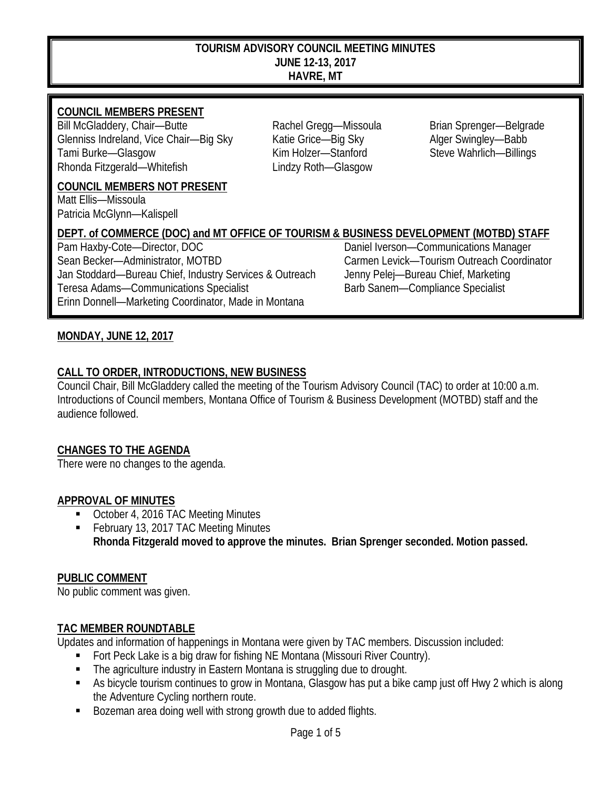#### **TOURISM ADVISORY COUNCIL MEETING MINUTES JUNE 12-13, 2017 HAVRE, MT**

## **COUNCIL MEMBERS PRESENT**

Bill McGladdery, Chair—Butte **Rachel Gregg—Missoula** Brian Sprenger—Belgrade Glenniss Indreland, Vice Chair—Big Sky Katie Grice—Big Sky Alger Swingley—Babb Tami Burke—Glasgow Kim Holzer—Stanford Steve Wahrlich—Billings Rhonda Fitzgerald—Whitefish Lindzy Roth—Glasgow

**COUNCIL MEMBERS NOT PRESENT**

Matt Ellis—Missoula Patricia McGlynn—Kalispell

# **DEPT. of COMMERCE (DOC) and MT OFFICE OF TOURISM & BUSINESS DEVELOPMENT (MOTBD) STAFF**

Sean Becker—Administrator, MOTBD Carmen Levick—Tourism Outreach Coordinator Jan Stoddard—Bureau Chief, Industry Services & Outreach Jenny Pelej—Bureau Chief, Marketing Teresa Adams—Communications Specialist Barb Sanem—Compliance Specialist Erinn Donnell—Marketing Coordinator, Made in Montana

Daniel Iverson—Communications Manager

### **MONDAY, JUNE 12, 2017**

### **CALL TO ORDER, INTRODUCTIONS, NEW BUSINESS**

Council Chair, Bill McGladdery called the meeting of the Tourism Advisory Council (TAC) to order at 10:00 a.m. Introductions of Council members, Montana Office of Tourism & Business Development (MOTBD) staff and the audience followed.

### **CHANGES TO THE AGENDA**

There were no changes to the agenda.

### **APPROVAL OF MINUTES**

- October 4, 2016 TAC Meeting Minutes
- February 13, 2017 TAC Meeting Minutes **Rhonda Fitzgerald moved to approve the minutes. Brian Sprenger seconded. Motion passed.**

### **PUBLIC COMMENT**

No public comment was given.

### **TAC MEMBER ROUNDTABLE**

Updates and information of happenings in Montana were given by TAC members. Discussion included:

- **Fort Peck Lake is a big draw for fishing NE Montana (Missouri River Country).**
- The agriculture industry in Eastern Montana is struggling due to drought.
- As bicycle tourism continues to grow in Montana, Glasgow has put a bike camp just off Hwy 2 which is along the Adventure Cycling northern route.
- Bozeman area doing well with strong growth due to added flights.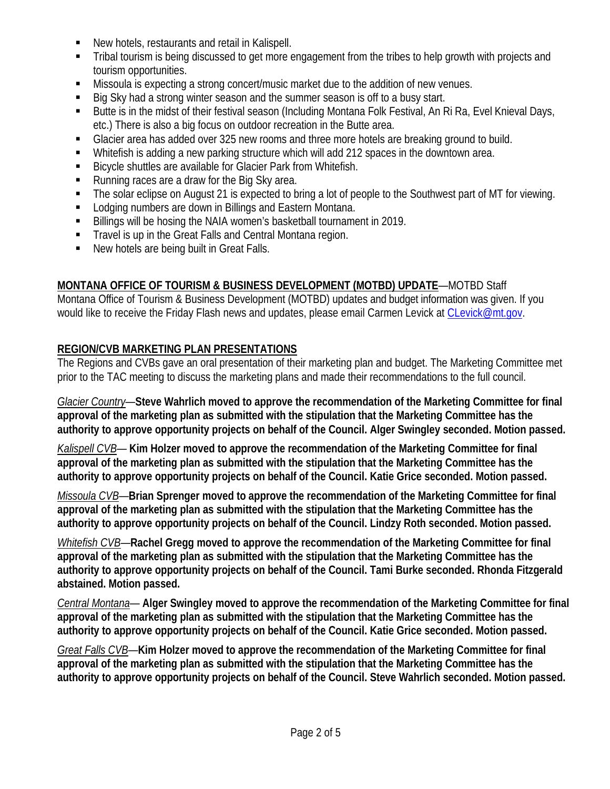- New hotels, restaurants and retail in Kalispell.
- Tribal tourism is being discussed to get more engagement from the tribes to help growth with projects and tourism opportunities.
- Missoula is expecting a strong concert/music market due to the addition of new venues.
- Big Sky had a strong winter season and the summer season is off to a busy start.
- Butte is in the midst of their festival season (Including Montana Folk Festival, An Ri Ra, Evel Knieval Days, etc.) There is also a big focus on outdoor recreation in the Butte area.
- Glacier area has added over 325 new rooms and three more hotels are breaking ground to build.
- Whitefish is adding a new parking structure which will add 212 spaces in the downtown area.
- Bicycle shuttles are available for Glacier Park from Whitefish.
- Running races are a draw for the Big Sky area.
- The solar eclipse on August 21 is expected to bring a lot of people to the Southwest part of MT for viewing.
- **EXECTE 1** Lodging numbers are down in Billings and Eastern Montana.
- Billings will be hosing the NAIA women's basketball tournament in 2019.
- **Travel is up in the Great Falls and Central Montana region.**
- New hotels are being built in Great Falls.

## **MONTANA OFFICE OF TOURISM & BUSINESS DEVELOPMENT (MOTBD) UPDATE**—MOTBD Staff

Montana Office of Tourism & Business Development (MOTBD) updates and budget information was given. If you would like to receive the Friday Flash news and updates, please email Carmen Levick at [CLevick@mt.gov.](mailto:CLevick@mt.gov)

## **REGION/CVB MARKETING PLAN PRESENTATIONS**

The Regions and CVBs gave an oral presentation of their marketing plan and budget. The Marketing Committee met prior to the TAC meeting to discuss the marketing plans and made their recommendations to the full council.

*Glacier Country*—**Steve Wahrlich moved to approve the recommendation of the Marketing Committee for final approval of the marketing plan as submitted with the stipulation that the Marketing Committee has the authority to approve opportunity projects on behalf of the Council. Alger Swingley seconded. Motion passed.**

*Kalispell CVB*— **Kim Holzer moved to approve the recommendation of the Marketing Committee for final approval of the marketing plan as submitted with the stipulation that the Marketing Committee has the authority to approve opportunity projects on behalf of the Council. Katie Grice seconded. Motion passed.**

*Missoula CVB*—**Brian Sprenger moved to approve the recommendation of the Marketing Committee for final approval of the marketing plan as submitted with the stipulation that the Marketing Committee has the authority to approve opportunity projects on behalf of the Council. Lindzy Roth seconded. Motion passed.**

*Whitefish CVB*—**Rachel Gregg moved to approve the recommendation of the Marketing Committee for final approval of the marketing plan as submitted with the stipulation that the Marketing Committee has the authority to approve opportunity projects on behalf of the Council. Tami Burke seconded. Rhonda Fitzgerald abstained. Motion passed.**

*Central Montana*— **Alger Swingley moved to approve the recommendation of the Marketing Committee for final approval of the marketing plan as submitted with the stipulation that the Marketing Committee has the authority to approve opportunity projects on behalf of the Council. Katie Grice seconded. Motion passed.**

*Great Falls CVB*—**Kim Holzer moved to approve the recommendation of the Marketing Committee for final approval of the marketing plan as submitted with the stipulation that the Marketing Committee has the authority to approve opportunity projects on behalf of the Council. Steve Wahrlich seconded. Motion passed.**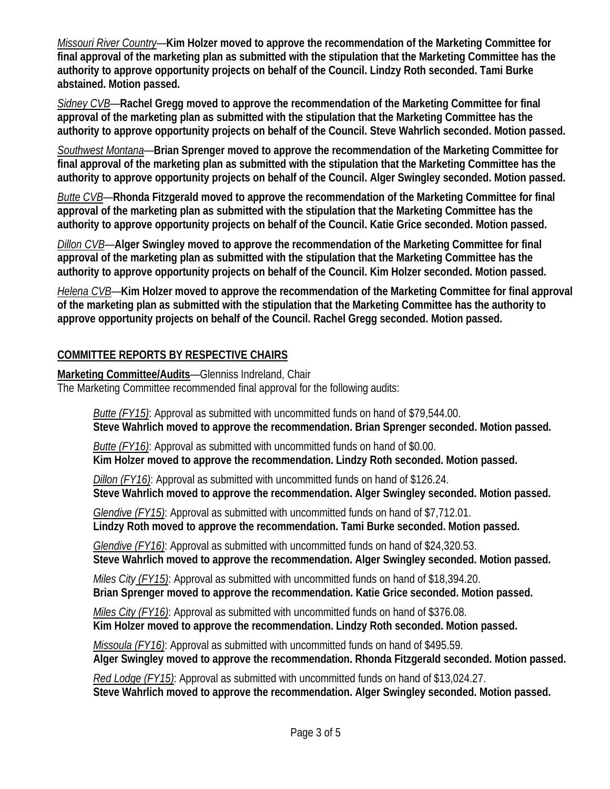*Missouri River Country*—**Kim Holzer moved to approve the recommendation of the Marketing Committee for final approval of the marketing plan as submitted with the stipulation that the Marketing Committee has the authority to approve opportunity projects on behalf of the Council. Lindzy Roth seconded. Tami Burke abstained. Motion passed.**

*Sidney CVB*—**Rachel Gregg moved to approve the recommendation of the Marketing Committee for final approval of the marketing plan as submitted with the stipulation that the Marketing Committee has the authority to approve opportunity projects on behalf of the Council. Steve Wahrlich seconded. Motion passed.**

*Southwest Montana*—**Brian Sprenger moved to approve the recommendation of the Marketing Committee for final approval of the marketing plan as submitted with the stipulation that the Marketing Committee has the authority to approve opportunity projects on behalf of the Council. Alger Swingley seconded. Motion passed.**

*Butte CVB*—**Rhonda Fitzgerald moved to approve the recommendation of the Marketing Committee for final approval of the marketing plan as submitted with the stipulation that the Marketing Committee has the authority to approve opportunity projects on behalf of the Council. Katie Grice seconded. Motion passed.**

*Dillon CVB*—**Alger Swingley moved to approve the recommendation of the Marketing Committee for final approval of the marketing plan as submitted with the stipulation that the Marketing Committee has the authority to approve opportunity projects on behalf of the Council. Kim Holzer seconded. Motion passed.**

*Helena CVB*—**Kim Holzer moved to approve the recommendation of the Marketing Committee for final approval of the marketing plan as submitted with the stipulation that the Marketing Committee has the authority to approve opportunity projects on behalf of the Council. Rachel Gregg seconded. Motion passed.**

## **COMMITTEE REPORTS BY RESPECTIVE CHAIRS**

**Marketing Committee/Audits**—Glenniss Indreland, Chair

The Marketing Committee recommended final approval for the following audits:

*Butte (FY15)*: Approval as submitted with uncommitted funds on hand of \$79,544.00.  **Steve Wahrlich moved to approve the recommendation. Brian Sprenger seconded. Motion passed.**

 *Butte (FY16)*: Approval as submitted with uncommitted funds on hand of \$0.00.  **Kim Holzer moved to approve the recommendation. Lindzy Roth seconded. Motion passed.**

 *Dillon (FY16)*: Approval as submitted with uncommitted funds on hand of \$126.24.  **Steve Wahrlich moved to approve the recommendation. Alger Swingley seconded. Motion passed.**

 *Glendive (FY15)*: Approval as submitted with uncommitted funds on hand of \$7,712.01.  **Lindzy Roth moved to approve the recommendation. Tami Burke seconded. Motion passed.**

 *Glendive (FY16)*: Approval as submitted with uncommitted funds on hand of \$24,320.53.

 **Steve Wahrlich moved to approve the recommendation. Alger Swingley seconded. Motion passed.**

 *Miles City (FY15)*: Approval as submitted with uncommitted funds on hand of \$18,394.20.  **Brian Sprenger moved to approve the recommendation. Katie Grice seconded. Motion passed.**

 *Miles City (FY16)*: Approval as submitted with uncommitted funds on hand of \$376.08.  **Kim Holzer moved to approve the recommendation. Lindzy Roth seconded. Motion passed.**

 *Missoula (FY16)*: Approval as submitted with uncommitted funds on hand of \$495.59.  **Alger Swingley moved to approve the recommendation. Rhonda Fitzgerald seconded. Motion passed.**

 *Red Lodge (FY15)*: Approval as submitted with uncommitted funds on hand of \$13,024.27.  **Steve Wahrlich moved to approve the recommendation. Alger Swingley seconded. Motion passed.**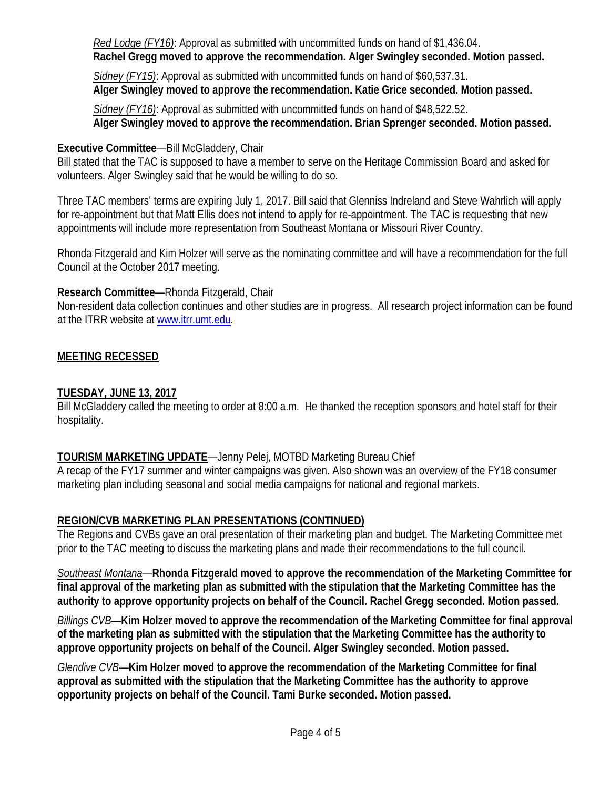*Red Lodge (FY16)*: Approval as submitted with uncommitted funds on hand of \$1,436.04.  **Rachel Gregg moved to approve the recommendation. Alger Swingley seconded. Motion passed.**

 *Sidney (FY15)*: Approval as submitted with uncommitted funds on hand of \$60,537.31.  **Alger Swingley moved to approve the recommendation. Katie Grice seconded. Motion passed.**

 *Sidney (FY16)*: Approval as submitted with uncommitted funds on hand of \$48,522.52.  **Alger Swingley moved to approve the recommendation. Brian Sprenger seconded. Motion passed.**

### **Executive Committee**—Bill McGladdery, Chair

Bill stated that the TAC is supposed to have a member to serve on the Heritage Commission Board and asked for volunteers. Alger Swingley said that he would be willing to do so.

Three TAC members' terms are expiring July 1, 2017. Bill said that Glenniss Indreland and Steve Wahrlich will apply for re-appointment but that Matt Ellis does not intend to apply for re-appointment. The TAC is requesting that new appointments will include more representation from Southeast Montana or Missouri River Country.

Rhonda Fitzgerald and Kim Holzer will serve as the nominating committee and will have a recommendation for the full Council at the October 2017 meeting.

## **Research Committee**—Rhonda Fitzgerald, Chair

Non-resident data collection continues and other studies are in progress. All research project information can be found at the ITRR website a[t www.itrr.umt.edu.](http://www.itrr.umt.edu/)

## **MEETING RECESSED**

## **TUESDAY, JUNE 13, 2017**

Bill McGladdery called the meeting to order at 8:00 a.m. He thanked the reception sponsors and hotel staff for their hospitality.

## **TOURISM MARKETING UPDATE**—Jenny Pelej, MOTBD Marketing Bureau Chief

A recap of the FY17 summer and winter campaigns was given. Also shown was an overview of the FY18 consumer marketing plan including seasonal and social media campaigns for national and regional markets.

## **REGION/CVB MARKETING PLAN PRESENTATIONS (CONTINUED)**

The Regions and CVBs gave an oral presentation of their marketing plan and budget. The Marketing Committee met prior to the TAC meeting to discuss the marketing plans and made their recommendations to the full council.

*Southeast Montana*—**Rhonda Fitzgerald moved to approve the recommendation of the Marketing Committee for final approval of the marketing plan as submitted with the stipulation that the Marketing Committee has the authority to approve opportunity projects on behalf of the Council. Rachel Gregg seconded. Motion passed.**

*Billings CVB*—**Kim Holzer moved to approve the recommendation of the Marketing Committee for final approval of the marketing plan as submitted with the stipulation that the Marketing Committee has the authority to approve opportunity projects on behalf of the Council. Alger Swingley seconded. Motion passed.**

*Glendive CVB*—**Kim Holzer moved to approve the recommendation of the Marketing Committee for final approval as submitted with the stipulation that the Marketing Committee has the authority to approve opportunity projects on behalf of the Council. Tami Burke seconded. Motion passed.**